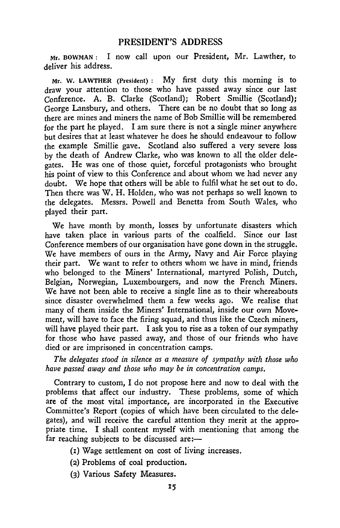## **PRESIDENT'S ADDRESS**

Mr. BOWMAN: I now call upon our President, Mr. Lawther, to deliver his address.

Mr. W. LAWTHER (President) : My first duty this morning is to draw your attention to those who have passed away since our last Conference. A. B. Clarke (Scotland); Robert Smillie (Scotland); George Lansbury, and others. There can be no doubt that so long as there are mines and miners the name of Bob Smillie will be remembered for the part he played. I am sure there is not a single miner anywhere but desires that at least whatever he does he should endeavour to follow the example Smillie gave. Scotland also suffered a very severe loss by the death of Andrew Clarke, who was known to all the older delegates. He was one of those quiet, forceful protagonists who brought his point of view to this Conference and about whom we had never any doubt. We hope that others will be able to fulfil what he set out to do. Then there was W. H. Holden, who was not perhaps so well known to the delegates. Messrs. Powell and Benetta from South Wales, who played their part.

We have month by month, losses by unfortunate disasters which have taken place in various parts of the coalfield. Since our last Conference members of our organisation have gone down in the struggle. We have members of ours in the Army, Navy and Air Force playing their part. We want to refer to others whom we have in mind, friends who belonged to the Miners' International, martyred Polish, Dutch, Belgian, Norwegian, Luxembourgers, and now the French Miners. We have not been able to receive a single line as to their whereabouts since disaster overwhelmed them a few weeks ago. We realise that many of them inside the Miners' International, inside our own Movement, will have to face the firing squad, and thus like the Czech miners, will have played their part. I ask you to rise as a token of our sympathy for those who have passed away, and those of our friends who have died or are imprisoned in concentration camps.

*The delegates stood in silence as a measure of sympathy with those who have passed away and those who may be in concentration camps.* 

Contrary to custom, I do not propose here and now to deal with the problems that affect our industry. These problems, some of which are of the most vital importance, are incorporated in the Executive Committee's Report (copies of which have been circulated to the delegates), and will receive the careful attention they merit at the appropriate time. I shall content myself with mentioning that among the far reaching subjects to be discussed are: $-$ 

- (i) Wage settlement on cost of living increases,
- (2) Problems of coal production.
- (3) Various Safety Measures.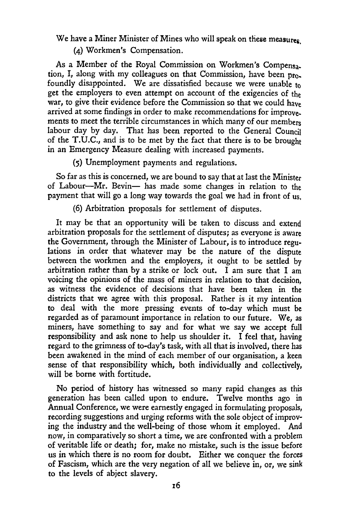We have a Miner Minister of Mines who will speak on these measures

(a) Workmen's Compensation.

As a Member of the Royal Commission on Workmen's Compensa.. tion, I, along with my colleagues on that Commission, have been profoundly disappointed. We are dissatisfied because we were unable to get the employers to even attempt on account of the exigencies of the war, to give their evidence before the Commission so that we could have arrived at some findings in order to make recommendations for improve. ments to meet the terrible circumstances in which many of our members labour day by day. That has been reported to the General Council of the T.U.C., and is to be met by the fact that there is to be brought in an Emergency Measure dealing with increased payments.

(5) Unemployment payments and regulations.

So far as this is concerned, we are bound to say that at last the Minister of Labour—Mr. Bevin— has made some changes in relation to the payment that will go a long way towards the goal we had in front of us,

(6) Arbitration proposals for settlement of disputes.

It may be that an opportunity will be taken to discuss and extend arbitration proposals for the settlement of disputes; as everyone is aware the Government, through the Minister of Labour, is to introduce regulations in order that whatever may be the nature of the dispute between the workmen and the employers, it ought to be settled by arbitration rather than by a strike or lock out. I am sure that I am voicing the opinions of the mass of miners in relation to that decision, as witness the evidence of decisions that have been taken in the districts that we agree with this proposal. Rather is it my intention to deal with the more pressing events of to-day which must be regarded as of paramount importance in relation to our future. We, as miners, have something to say and for what we say we accept full responsibility and ask none to help us shoulder it. I feel that, having regard to the grimness of to-day's task, with all that is involved, there has been awakened in the mind of each member of our organisation, a keen sense of that responsibility which, both individually and collectively, will be borne with fortitude.

No period of history has witnessed so many rapid changes as this generation has been called upon to endure. Twelve months ago in Annual Conference, we were earnestly engaged in formulating proposals, recording suggestions and urging reforms with the sole object of improving the industry and the well-being of those whom it employed. And now, in comparatively so short a time, we are confronted with a problem of veritable life or death; for, make no mistake, such is the issue before us in which there is no room for doubt. Either we conquer the forces of Fascism, which are the very negation of all we believe in, or, we sink to the levels of abject slavery.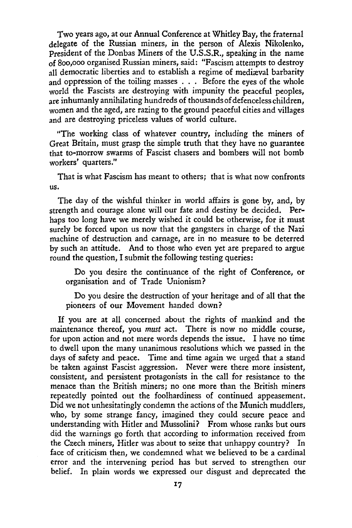Two years ago, at our Annual Conference at Whitley Bay, the fraternal delegate of the Russian miners, in the person of Alexis Nikolenko, President of the Donbas Miners of the U.S.S.R., speaking in the name of 800,000 organised Russian miners, said: "Fascism attempts to destroy all democratic liberties and to establish a regime of mediaval barbarity and oppression of the toiling masses . . . Before the eyes of the whole world the Fascists are destroying with impunity the peaceful peoples, are inhumanly annihilating hundreds of thousands of defenceless children, women and the aged, are razing to the ground peaceful cities and villages and are destroying priceless values of world culture.

"The working class of whatever country, including the miners of Great Britain, must grasp the simple truth that they have no guarantee that to-morrow swarms of Fascist chasers and bombers will not bomb workers' quarters."

That is what Fascism has meant to others; that is what now confronts US.

The day of the wishful thinker in world affairs is gone by, and, by strength and courage alone will our fate and destiny be decided. Perhaps too long have we merely wished it could be otherwise, for it must surely be forced upon us now that the gangsters in charge of the Nazi machine of destruction and carnage, are in no measure to be deterred by such an attitude. And to those who even yet are prepared to argue round the question, I submit the following testing queries:

Do you desire the continuance of the right of Conference, or organisation and of Trade Unionism?

Do you desire the destruction of your heritage and of all that the pioneers of our Movement handed down?

If you are at all concerned about the rights of mankind and the maintenance thereof, you *must* act. There is now no middle course, for upon action and not mere words depends the issue. I have no time to dwell upon the many unanimous resolutions which we passed in the days of safety and peace. Time and time again we urged that a stand be taken against Fascist aggression. Never were there more insistent, consistent, and persistent protagonists in the call for resistance to the menace than the British miners; no one more than the British miners repeatedly pointed out the foolhardiness of continued appeasement. Did we not unhesitatingly condemn the actions of the Munich muddlers, who, by some strange fancy, imagined they could secure peace and understanding with Hitler and Mussolini? From whose ranks but ours did the warnings go forth that according to information received from the Czech miners, Hitler was about to seize that unhappy country? In face of criticism then, we condemned what we believed to be a cardinal error and the intervening period has but served to strengthen our belief. In plain words we expressed our disgust and deprecated the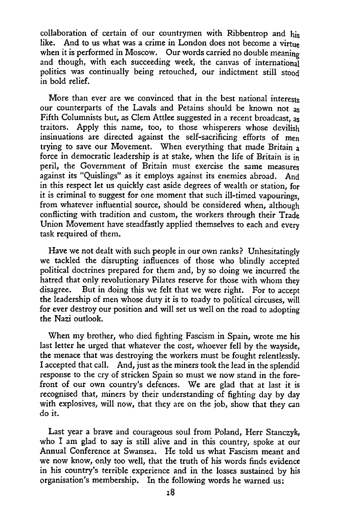collaboration of certain of our countrymen with Ribbentrop and his like. And to us what was a crime in London does not become a virtuo And to us what was a crime in London does not become a virtue when it is performed in Moscow. Our words carried no double meaning and though, with each succeeding week, the canvas of international politics was continually being retouched, our indictment still stood in bold relief.

More than ever are we convinced that in the best national interests our counterparts of the Lavals and Petains should be known not as Fifth Columnists but, as Clem Attlee suggested in a recent broadcast, as traitors. Apply this name, too, to those whisperers whose devilish insinuations are directed against the self-sacrificing efforts of men trying to save our Movement. When everything that made Britain a force in democratic leadership is at stake, when the life of Britain is in peril, the Government of Britain must exercise the same measures against its "Quislings" as it employs against its enemies abroad. And in this respect let us quickly cast aside degrees of wealth or station, for it is criminal to suggest for one moment that such ill-timed vapourings, from whatever influential source, should be considered when, although conflicting with tradition and custom, the workers through their Trade Union Movement have steadfastly applied themselves to each and every task required of them.

Have we not dealt with such people in our own ranks? Unhesitatingly we tackled the disrupting influences of those who blindly accepted political doctrines prepared for them and, by so doing we incurred the hatred that only revolutionary Pilates reserve for those with whom they disagree. But in doing this we felt that we were right. For to accent But in doing this we felt that we were right. For to accept the leadership of men whose duty it is to toady to political circuses, will for ever destroy our position and will set us well on the road to adopting the Nazi outlook.

When my brother, who died fighting Fascism in Spain, wrote me his last letter he urged that whatever the cost, whoever fell by the wayside, the menace that was destroying the workers must be fought relentlessly. I accepted that call. And, just as the miners took the lead in the splendid response to the cry of stricken Spain so must we now stand in the forefront of our own country's defences. We are glad that at last it is recognised that, miners by their understanding of fighting day by day with explosives, will now, that they are on the job, show that they can do it.

Last year a brave and courageous soul from Poland, Herr Stanczyk, who I am glad to say is still alive and in this country, spoke at our Annual Conference at Swansea. He told us what Fascism meant and we now know, only too well, that the truth of his words finds evidence in his country's terrible experience and in the losses sustained by his organisation's membership. In the following words he warned us: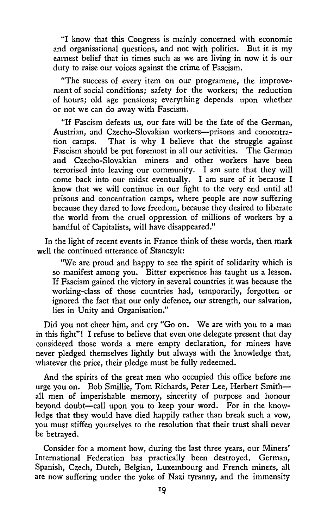"I know that this Congress is mainly concerned with economic and organisational questions, and not with politics. But it is my earnest belief that in times such as we are living in now it is our duty to raise our voices against the crime of Fascism.

"The success of every item on our programme, the improvement of social conditions; safety for the workers; the reduction of hours; old age pensions; everything depends upon whether or not we can do away with Fascism.

"If Fascism defeats us, our fate will be the fate of the German, Austrian, and Czecho-Slovakian workers—prisons and concentration camps. That is why I believe that the struggle against Fascism should be put foremost in all our activities. The German and Czecho-Slovakian miners and other workers have been terrorised into leaving our community. I am sure that they will come back into our midst eventually. I am sure of it because I know that we will continue in our fight to the very end until all prisons and concentration camps, where people are now suffering because they dared to love freedom, because they desired to liberate the world from the cruel oppression of millions of workers by a handful of Capitalists, will have disappeared."

In the light of recent events in France think of these words, then mark well the continued utterance of Stanczyk:

"We are proud and happy to see the spirit of solidarity which is so manifest among you. Bitter experience has taught us a lesson. If Fascism gained the victory in several countries it was because the working-class of those countries had, temporarily, forgotten or ignored the fact that our only defence, our strength, our salvation, lies in Unity and Organisation."

Did you not cheer him, and cry "Go on. We are with you to a man in this fight"! I refuse to believe that even one delegate present that day considered those words a mere empty declaration, for miners have never pledged themselves lightly but always with the knowledge that, whatever the price, their pledge must be fully redeemed.

And the spirits of the great men who occupied this office before me urge you on. Bob Smillie, Tom Richards, Peter Lee, Herbert Smith all men of imperishable memory, sincerity of purpose and honour beyond doubt—call upon you to keep your word. For in the knowledge that they would have died happily rather than break such a vow, you must stiffen yourselves to the resolution that their trust shall never be betrayed.

Consider for a moment how, during the last three years, our Miners' International Federation has practically been destroyed, German, Spanish, Czech, Dutch, Belgian, Luxembourg and French miners, all are now suffering under the yoke of Nazi tyranny, and the immensity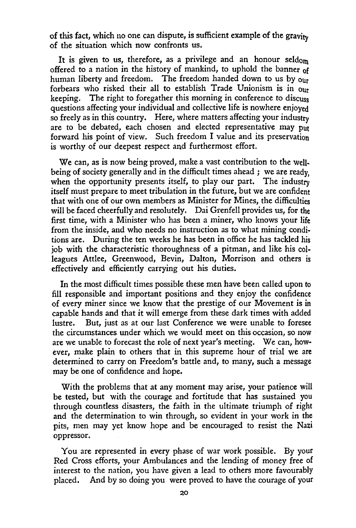of this fact, which no one can dispute, is sufficient example of the gravity of the situation which now confronts us.

It is given to us, therefore, as a privilege and an honour seldom offered to a nation in the history of mankind, to uphold the banner of human liberty and freedom. The freedom handed down to us by our forbears who risked their all to establish Trade Unionism is in our keeping. The right to foregather this morning in conference to discuss questions affecting your individual and collective life is nowhere enjoyed so freely as in this country. Here, where matters affecting your industry are to be debated, each chosen and elected representative may put forward his point of view. Such freedom I value and its preservation is worthy of our deepest respect and furthermost effort.

We can, as is now being proved, make a vast contribution to the well. being of society generally and in the difficult times ahead ; we are ready, when the opportunity presents itself, to play our part. The industry itself must prepare to meet tribulation in the future, but we are confident that with one of our own members as Minister for Mines, the difficulties will be faced cheerfully and resolutely. Dai Grenfell provides us, for the first time, with a Minister who has been a miner, who knows your life from the inside, and who needs no instruction as to what mining conditions are. During the ten weeks he has been in office he has tackled his job with the characteristic thoroughness of a pitman, and like his colleagues Attlee, Greenwood, Bevin, Dalton, Morrison and others is effectively and efficiently carrying out his duties.

In the most difficult times possible these men have been called upon to fill responsible and important positions and they enjoy the confidence of every miner since we know that the prestige of our Movement is in capable hands and that it will emerge from these dark times with added lustre. But, just as at our last Conference we were unable to foresee the circumstances under which we would meet on this occasion, so now are we unable to forecast the role of next year's meeting. We can, however, make plain to others that in this supreme hour of trial we are determined to carry on Freedom's battle and, to many, such a message may be one of confidence and hope.

With the problems that at any moment may arise, your patience will be tested, but with the courage and fortitude that has sustained you through countless disasters, the faith in the ultimate triumph of right and the determination to win through, so evident in your work in the pits, men may yet know hope and be encouraged to resist the Nazi oppressor.

You are represented in every phase of war work possible. By your Red Cross efforts, your Ambulances and the lending of money free of interest to the nation, you have given a lead to others more favourably placed. And by so doing you were proved to have the courage of your